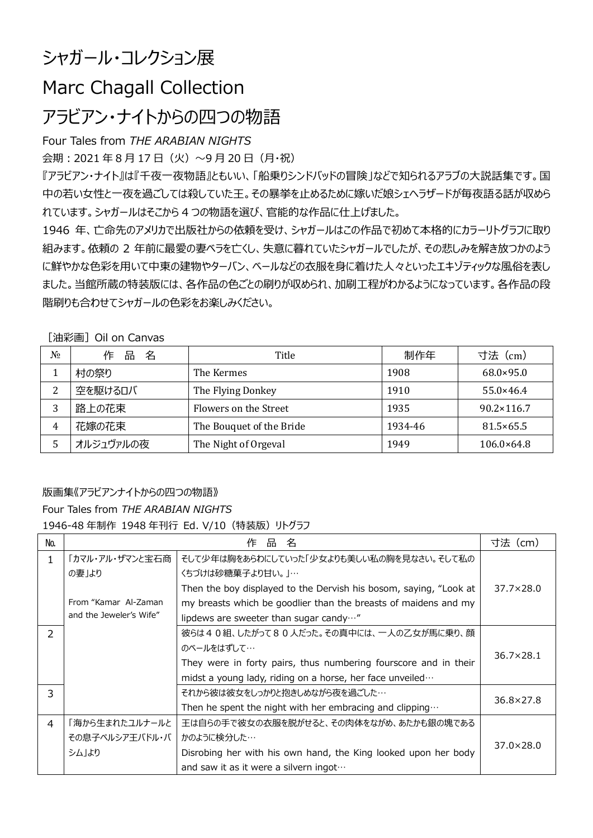# シャガール・コレクション展

# Marc Chagall Collection

## アラビアン・ナイトからの四つの物語

### Four Tales from *THE ARABIAN NIGHTS*

会期: 2021年8月17日(火)~9月20日(月·祝)

『アラビアン・ナイト』は『千夜一夜物語』ともいい、「船乗りシンドバッドの冒険」などで知られるアラブの大説話集です。国 中の若い女性と一夜を過ごしては殺していた王。その暴挙を止めるために嫁いだ娘シェヘラザードが毎夜語る話が収めら れています。シャガールはそこから 4 つの物語を選び、官能的な作品に仕上げました。

1946 年、亡命先のアメリカで出版社からの依頼を受け、シャガールはこの作品で初めて本格的にカラーリトグラフに取り 組みます。依頼の 2 年前に最愛の妻ベラを亡くし、失意に暮れていたシャガールでしたが、その悲しみを解き放つかのよう に鮮やかな色彩を用いて中東の建物やターバン、ベールなどの衣服を身に着けた人々といったエキゾティックな風俗を表し ました。当館所蔵の特装版には、各作品の色ごとの刷りが収められ、加刷工程がわかるようになっています。各作品の段 階刷りも合わせてシャガールの色彩をお楽しみください。

#### [油彩画] Oil on Canvas

| $N_2$ | 名<br>品<br>作 | Title                    | 制作年     | 寸法(cm)              |
|-------|-------------|--------------------------|---------|---------------------|
|       | 村の祭り        | The Kermes               | 1908    | $68.0 \times 95.0$  |
| ົ     | 空を駆けるロバ     | The Flying Donkey        | 1910    | $55.0 \times 46.4$  |
|       | 路上の花束       | Flowers on the Street    | 1935    | $90.2 \times 116.7$ |
| 4     | 花嫁の花束       | The Bouquet of the Bride | 1934-46 | $81.5 \times 65.5$  |
|       | オルジュヴァルの夜   | The Night of Orgeval     | 1949    | $106.0\times64.8$   |

### 版画集《アラビアンナイトからの四つの物語》

### Four Tales from *THE ARABIAN NIGHTS*

1946-48 年制作 1948 年刊行 Ed. V/10(特装版)リトグラフ

| No.            | 品名<br>作                 |                                                                   | 寸法(cm)             |
|----------------|-------------------------|-------------------------------------------------------------------|--------------------|
| 1.             | 「カマル・アル・ザマンと宝石商         | そして少年は胸をあらわにしていった「少女よりも美しい私の胸を見なさい。そして私の                          |                    |
|                | の妻」より                   | くちづけは砂糖菓子より甘い。 」…                                                 |                    |
|                |                         | Then the boy displayed to the Dervish his bosom, saying, "Look at | $37.7 \times 28.0$ |
|                | From "Kamar Al-Zaman    | my breasts which be goodlier than the breasts of maidens and my   |                    |
|                | and the Jeweler's Wife" | lipdews are sweeter than sugar candy"                             |                    |
| $\mathcal{P}$  |                         | 彼らは40組、したがって80人だった。その真中には、一人の乙女が馬に乗り、顔                            |                    |
|                |                         | のベールをはずして…                                                        | $36.7 \times 28.1$ |
|                |                         | They were in forty pairs, thus numbering fourscore and in their   |                    |
|                |                         | midst a young lady, riding on a horse, her face unveiled          |                    |
| 3              |                         | それから彼は彼女をしっかりと抱きしめながら夜を過ごした…                                      | 36.8×27.8          |
|                |                         | Then he spent the night with her embracing and clipping $\cdots$  |                    |
| $\overline{a}$ | 「海から生まれたユルナールと          | 王は自らの手で彼女の衣服を脱がせると、その肉体をながめ、あたかも銀の塊である                            |                    |
|                | その息子ペルシア王バドル・バ          | かのように検分した…                                                        | $37.0 \times 28.0$ |
|                | シム」より                   | Disrobing her with his own hand, the King looked upon her body    |                    |
|                |                         | and saw it as it were a silvern ingot                             |                    |